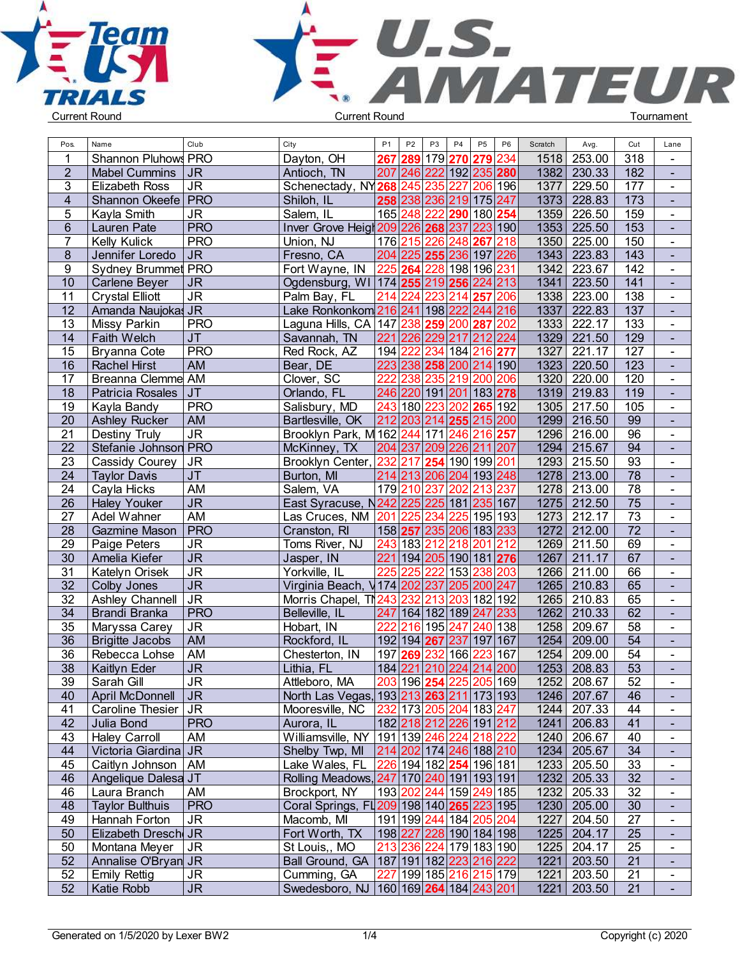



| Pos.            | Name                   | Club                              | City                                                  | <b>P1</b>        | ${\sf P2}$     | P <sub>3</sub> | P <sub>4</sub><br>P <sub>5</sub> | P <sub>6</sub> | Scratch | Avg.        | Cut              | Lane                  |  |
|-----------------|------------------------|-----------------------------------|-------------------------------------------------------|------------------|----------------|----------------|----------------------------------|----------------|---------|-------------|------------------|-----------------------|--|
|                 | Shannon Pluhows PRO    |                                   | Dayton, OH                                            |                  |                |                | 267 289 179 270 279              | 234            | 1518    | 253.00      | 318              | $\blacksquare$        |  |
| $\overline{2}$  | <b>Mabel Cummins</b>   | <b>JR</b>                         | Antioch, TN                                           |                  | 207 246        |                | 222 192 235 280                  |                | 1382    | 230.33      | 182              | $\blacksquare$        |  |
| 3               | <b>Elizabeth Ross</b>  | <b>JR</b>                         | Schenectady, NY268                                    |                  | 245            | 235            | 227                              | 206 196        | 1377    | 229.50      | 177              | $\blacksquare$        |  |
| $\overline{4}$  | Shannon Okeefe PRO     |                                   | Shiloh, IL                                            |                  | 258 238        |                | 236 219 175 247                  |                | 1373    | 228.83      | $\overline{173}$ | $\blacksquare$        |  |
| 5               | Kayla Smith            | <b>JR</b>                         | Salem, IL                                             |                  | 165 248        | 222            | 290 180 254                      |                | 1359    | 226.50      | 159              | $\blacksquare$        |  |
| 6               | Lauren Pate            | <b>PRO</b>                        | Inver Grove Heigh 209 226 268 237 223 190             |                  |                |                |                                  |                |         | 1353 225.50 | $\overline{153}$ | $\blacksquare$        |  |
| 7               | <b>Kelly Kulick</b>    | <b>PRO</b>                        | Union, NJ                                             |                  | 176 215        |                | 226 248 267 218                  |                | 1350    | 225.00      | 150              | $\mathbf{r}$          |  |
| $\bf 8$         | Jennifer Loredo        | J <sub>R</sub>                    | Fresno, CA                                            |                  |                |                | 204 225 255 236 197 226          |                | 1343    | 223.83      | 143              | $\blacksquare$        |  |
| 9               | Sydney Brummet PRO     |                                   | Fort Wayne, IN                                        |                  | $225$ 264      |                | 228 198 196                      | 231            | 1342    | 223.67      | 142              | $\blacksquare$        |  |
| 10              | Carlene Beyer          | <b>JR</b>                         | Ogdensburg, WI 174 255                                |                  |                |                | 219 256                          | 224 213        | 1341    | 223.50      | 141              | $\blacksquare$        |  |
| 11              | <b>Crystal Elliott</b> | <b>JR</b>                         | Palm Bay, FL                                          | 214              | 224            |                | 223 214 257                      | 206            | 1338    | 223.00      | 138              | $\blacksquare$        |  |
| 12              | Amanda Naujokas JR     |                                   | Lake Ronkonkom 216 241                                |                  |                |                | 198 222 244 216                  |                | 1337    | 222.83      | 137              | $\blacksquare$        |  |
|                 |                        | <b>PRO</b>                        |                                                       |                  |                |                |                                  | 202            | 1333    | 222.17      | 133              | $\blacksquare$        |  |
| 13<br>14        | Missy Parkin           | $\overline{\mathsf{J}\mathsf{T}}$ | Laguna Hills, CA 147 238                              | 221              |                | 259            | 200 287<br>217<br>212            | 224            | 1329    | 221.50      | 129              | $\blacksquare$        |  |
|                 | <b>Faith Welch</b>     |                                   | Savannah, TN                                          |                  | 226            | 229            |                                  |                |         | 221.17      |                  |                       |  |
| 15<br>16        | Bryanna Cote           | <b>PRO</b><br><b>AM</b>           | Red Rock, AZ                                          | 194              | 222<br>223 238 | 234            | 184 216 277<br>258 200 214 190   |                | 1327    | 1323 220.50 | 127<br>123       | $\blacksquare$        |  |
|                 | <b>Rachel Hirst</b>    |                                   | Bear, DE                                              | $\overline{222}$ |                |                |                                  |                |         |             |                  | $\blacksquare$        |  |
| 17              | Breanna Clemme AM      |                                   | Clover, SC                                            |                  | 238            |                | 235 219 200 206                  |                | 1320    | 220.00      | 120              | $\mathbf{r}$          |  |
| 18              | Patricia Rosales       | JT                                | Orlando, FL                                           |                  | 246 220        |                | 191 201 183 278                  |                |         | 1319 219.83 | 119              | $\mathbf{r}$          |  |
| 19              | Kayla Bandy            | <b>PRO</b>                        | Salisbury, MD                                         |                  | 243 180        | 223            | 265<br>202                       | 192            | 1305    | 217.50      | 105              | $\blacksquare$        |  |
| 20              | <b>Ashley Rucker</b>   | <b>AM</b>                         | Bartlesville, OK                                      |                  | 212 203        |                | 214 255 215 200                  |                |         | 1299 216.50 | 99               | $\blacksquare$        |  |
| 21              | <b>Destiny Truly</b>   | <b>JR</b>                         | Brooklyn Park, M 162 244                              |                  |                |                | 171 246 216                      | 257            |         | 1296 216.00 | 96               | $\blacksquare$        |  |
| 22              | Stefanie Johnson PRO   |                                   | McKinney, TX                                          |                  | 204 237        |                | 209 226 211 207                  |                |         | 1294 215.67 | 94               | $\blacksquare$        |  |
| 23              | Cassidy Courey         | <b>JR</b>                         | Brooklyn Center,                                      | 232              | 217            |                | 254 190 199 201                  |                |         | 1293 215.50 | 93               | $\blacksquare$        |  |
| 24              | <b>Taylor Davis</b>    | $\overline{\mathsf{J}\mathsf{T}}$ | Burton, MI                                            |                  | 214 213        |                | 206 204 193 248                  |                |         | 1278 213.00 | $\overline{78}$  | $\blacksquare$        |  |
| 24              | Cayla Hicks            | AM                                | Salem, VA                                             |                  | 179 210        | 237            | 202 213                          | 237            |         | 1278 213.00 | $\overline{78}$  | $\blacksquare$        |  |
| 26              | <b>Haley Youker</b>    | <b>JR</b>                         | East Syracuse, N242 225                               |                  |                |                | 225 181 235 167                  |                |         | 1275 212.50 | $\overline{75}$  | $\blacksquare$        |  |
| 27              | Adel Wahner            | <b>AM</b>                         | Las Cruces, NM 201 225                                |                  |                |                | 234 225 195 193                  |                | 1273    | 212.17      | $\overline{73}$  | $\mathbf{r}$          |  |
| 28              | Gazmine Mason          | <b>PRO</b>                        | Cranston, RI                                          |                  |                |                | 158 257 235 206 183 233          |                | 1272    | 212.00      | $\overline{72}$  | $\mathbf{u}^{\prime}$ |  |
| 29              | Paige Peters           | <b>JR</b>                         | Toms River, NJ                                        |                  | 243 183        |                | 212 218 201                      | 212            | 1269    | 211.50      | 69               | $\blacksquare$        |  |
| 30              | Amelia Kiefer          | <b>JR</b>                         | Jasper, IN                                            |                  | 221 194        |                | 205 190 181 276                  |                | 1267    | 211.17      | 67               | $\blacksquare$        |  |
| 31              | Katelyn Orisek         | <b>JR</b>                         | Yorkville, IL                                         | 22               | 225            | 222            | 153 238                          | 203            | 1266    | 211.00      | 66               | $\blacksquare$        |  |
| $\overline{32}$ | Colby Jones            | <b>JR</b>                         | Virginia Beach, V174 202                              |                  |                | 237            | 205 200 247                      |                |         | 1265 210.83 | 65               | $\blacksquare$        |  |
| $\overline{32}$ | Ashley Channell        | $\overline{\mathsf{J}\mathsf{R}}$ | Morris Chapel, TN243                                  |                  | 232            |                | 213 203 182 192                  |                |         | 1265 210.83 | 65               | $\blacksquare$        |  |
| 34              | Brandi Branka          | <b>PRO</b>                        | Belleville, IL                                        |                  |                |                | 247 164 182 189 247 233          |                | 1262    | 210.33      | 62               | $\blacksquare$        |  |
| 35              | Maryssa Carey          | <b>JR</b>                         | Hobart, IN                                            | 222              | 216            |                | 195 247 240 138                  |                | 1258    | 209.67      | 58               | $\blacksquare$        |  |
| 36              | <b>Brigitte Jacobs</b> | <b>AM</b>                         | Rockford, IL                                          |                  |                |                | 192 194 267 237 197 167          |                |         | 1254 209.00 | 54               | $\blacksquare$        |  |
| 36              | Rebecca Lohse          | AM                                | Chesterton, IN                                        |                  | 197 269        |                | 232 166 223 167                  |                | 1254    | 209.00      | 54               | $\blacksquare$        |  |
| 38              | Kaitlyn Eder           | <b>JR</b>                         | Lithia, FL                                            |                  | 184 221        |                | 210 224 214 200                  |                | 1253    | 208.83      | $\overline{53}$  | $\blacksquare$        |  |
| 39              | Sarah Gill             | <b>JR</b>                         | Attleboro, MA                                         |                  |                |                | 203 196 <b>254</b> 225 205 169   |                |         | 1252 208.67 | 52               | $\blacksquare$        |  |
| 40              | April McDonnell        | JR                                | North Las Vegas, 193 213 263 211 173 193              |                  |                |                |                                  |                |         | 1246 207.67 | 46               | $\blacksquare$        |  |
| 41              | Caroline Thesier   JR  |                                   | Mooresville, NC 232 173 205 204 183 247               |                  |                |                |                                  |                |         | 1244 207.33 | 44               | $\blacksquare$        |  |
| 42              | Julia Bond             | <b>PRO</b>                        | Aurora, IL                                            |                  |                |                | 182 218 212 226 191 212          |                |         | 1241 206.83 | 41               |                       |  |
| 43              | <b>Haley Carroll</b>   | AM                                | Williamsville, NY   191   139   246   224   218   222 |                  |                |                |                                  |                |         | 1240 206.67 | 40               | $\blacksquare$        |  |
| 44              | Victoria Giardina JR   |                                   | Shelby Twp, MI 214 202 174 246 188 210                |                  |                |                |                                  |                |         | 1234 205.67 | 34               | $\blacksquare$        |  |
| 45              | Caitlyn Johnson   AM   |                                   | Lake Wales, FL 226 194 182 254 196 181                |                  |                |                |                                  |                |         | 1233 205.50 | 33               | $\blacksquare$        |  |
| 46              | Angelique Dalesa JT    |                                   | Rolling Meadows, 247 170 240 191 193 191              |                  |                |                |                                  |                |         | 1232 205.33 | 32               | $\blacksquare$        |  |
| 46              | Laura Branch           | AM                                | Brockport, NY                                         |                  |                |                | 193202244159249185               |                |         | 1232 205.33 | 32               | $\blacksquare$        |  |
| 48              | <b>Taylor Bulthuis</b> | <b>PRO</b>                        | Coral Springs, FL209 198 140 265 223 195              |                  |                |                |                                  |                |         | 1230 205.00 | 30               | $\blacksquare$        |  |
| 49              | Hannah Forton          | JR                                | Macomb, MI                                            |                  |                |                | 191 199 244 184 205 204          |                | 1227    | 204.50      | 27               | $\blacksquare$        |  |
| 50              | Elizabeth Dresch JR    |                                   | Fort Worth, TX                                        |                  |                |                | 198 227 228 190 184 198          |                |         | 1225 204.17 | 25               | $\blacksquare$        |  |
| 50              | Montana Meyer          | JR                                | St Louis,, MO                                         |                  |                |                | 213 236 224 179 183 190          |                |         | 1225 204.17 | 25               | $\blacksquare$        |  |
| 52              | Annalise O'Bryan JR    |                                   | Ball Ground, GA   187   191   182   223   216   222   |                  |                |                |                                  |                |         | 1221 203.50 | 21               |                       |  |
| 52              | <b>Emily Rettig</b>    | <b>JR</b>                         | Cumming, GA                                           |                  |                |                | 227 199 185 216 215 179          |                |         | 1221 203.50 | 21               | $\blacksquare$        |  |
| 52              | Katie Robb             | <b>JR</b>                         | Swedesboro, NJ 160 169 264 184 243 201                |                  |                |                |                                  |                |         | 1221 203.50 | 21               |                       |  |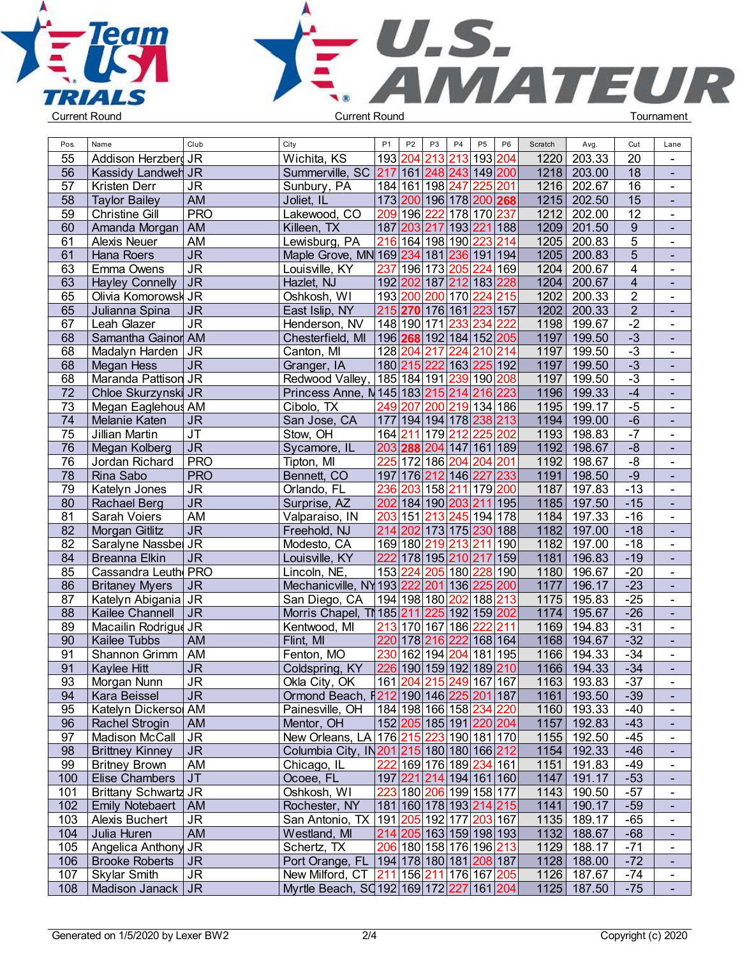



| Pos. | Name                                   | Club                              | City                                                | P <sub>1</sub> | P <sub>2</sub>  | P <sub>3</sub> | P5<br>P <sub>4</sub>                   | P <sub>6</sub> | Scratch | Avg.        | Cut                     | Lane                     |  |
|------|----------------------------------------|-----------------------------------|-----------------------------------------------------|----------------|-----------------|----------------|----------------------------------------|----------------|---------|-------------|-------------------------|--------------------------|--|
| 55   | Addison Herzberg                       | <b>JR</b>                         | Wichita, KS                                         |                | 193 204         |                | 213 213 193 204                        |                | 1220    | 203.33      | 20                      | $\blacksquare$           |  |
| 56   | <b>Kassidy Landweh JR</b>              |                                   | Summerville, SC 217 161 248 243 149 200             |                |                 |                |                                        |                |         | 1218 203.00 | $\overline{18}$         | $\blacksquare$           |  |
| 57   | Kristen Derr                           | <b>JR</b>                         | Sunbury, PA                                         |                |                 |                | 184 161 198 247 225 201                |                | 1216    | 202.67      | $\overline{16}$         | $\blacksquare$           |  |
| 58   | <b>Taylor Bailey</b>                   | <b>AM</b>                         | Joliet, IL                                          |                |                 |                | 173 200 196 178 200 268                |                |         | 1215 202.50 | $\overline{15}$         | $\blacksquare$           |  |
| 59   | Christine Gill                         | <b>PRO</b>                        | Lakewood, CO                                        |                | 209 196         |                | 222 178 170 237                        |                | 1212    | 202.00      | 12                      | $\blacksquare$           |  |
| 60   | Amanda Morgan                          | AM                                | Killeen, TX                                         | 187 203        |                 |                | 217 193 221 188                        |                | 1209    | 201.50      | $\boldsymbol{9}$        | $\blacksquare$           |  |
| 61   | <b>Alexis Neuer</b>                    | AM                                | Lewisburg, PA                                       |                |                 |                | 216 164 198 190 223                    | 214            | 1205    | 200.83      | $\overline{5}$          | $\blacksquare$           |  |
| 61   | Hana Roers                             | <b>JR</b>                         | Maple Grove, MN 169 234 181 236 191 194             |                |                 |                |                                        |                | 1205    | 200.83      | $\overline{5}$          | $\blacksquare$           |  |
| 63   | Emma Owens                             | $\overline{\mathsf{J}\mathsf{R}}$ | Louisville, KY                                      |                |                 |                | 237 196 173 205 224                    | 169            | 1204    | 200.67      | $\overline{\mathbf{4}}$ | $\blacksquare$           |  |
| 63   | <b>Hayley Connelly</b>                 | <b>JR</b>                         | Hazlet, NJ                                          |                |                 |                | 192 202 187 212 183 228                |                | 1204    | 200.67      | $\overline{4}$          |                          |  |
| 65   | Olivia Komorowsk JR                    |                                   | Oshkosh, WI                                         |                | 193 200         |                | 200 170 224 215                        |                | 1202    | 200.33      | $\overline{2}$          | $\blacksquare$           |  |
| 65   | Julianna Spina                         | <b>JR</b>                         | East Islip, NY                                      |                |                 |                | 215 270 176 161 223 157                |                | 1202    | 200.33      | $\overline{2}$          | $\blacksquare$           |  |
| 67   | Leah Glazer                            | <b>JR</b>                         | Henderson, NV                                       |                |                 |                | 148 190 171 233 234                    | 222            | 1198    | 199.67      | $-2$                    | $\blacksquare$           |  |
| 68   | Samantha Gainor AM                     |                                   | Chesterfield, MI                                    |                |                 |                | 196 268 192 184 152 205                |                | 1197    | 199.50      | $-3$                    | $\blacksquare$           |  |
| 68   | Madalyn Harden                         | <b>JR</b>                         | Canton, MI                                          | 128 204        |                 | 217            | 224 210 214                            |                | 1197    | 199.50      | $-3$                    | $\blacksquare$           |  |
| 68   | Megan Hess                             | <b>JR</b>                         | Granger, IA                                         | 180 215        |                 |                | 222 163 225 192                        |                | 1197    | 199.50      | $-3$                    | $\blacksquare$           |  |
| 68   | Maranda Pattison JR                    |                                   | Redwood Valley, 185 184 191 239 190 208             |                |                 |                |                                        |                | 1197    | 199.50      | $-3$                    | $\blacksquare$           |  |
| 72   | Chloe Skurzynski JR                    |                                   | Princess Anne, N 145 183 215 214 216 223            |                |                 |                |                                        |                | 1196    | 199.33      | $-4$                    | $\blacksquare$           |  |
| 73   | Megan Eaglehous AM                     |                                   | Cibolo, TX                                          | 249            | 207             |                | 200 219 134 186                        |                | 1195    | 199.17      | $-5$                    | $\blacksquare$           |  |
| 74   | Melanie Katen                          | <b>JR</b>                         | San Jose, CA                                        |                |                 |                | 177 194 194 178 238 213                |                | 1194    | 199.00      | $-6$                    | $\blacksquare$           |  |
| 75   | Jillian Martin                         | $\overline{\mathsf{J}\mathsf{T}}$ | Stow, OH                                            | 164 211        |                 |                | 179 212 225                            | 202            | 1193    | 198.83      | $-7$                    | $\blacksquare$           |  |
| 76   | Megan Kolberg                          | $\overline{\mathsf{J}\mathsf{R}}$ | Sycamore, IL                                        |                | 203 288         |                | 204 147 161 189                        |                | 1192    | 198.67      | $-8$                    | $\blacksquare$           |  |
| 76   | Jordan Richard                         | <b>PRO</b>                        | Tipton, MI                                          |                |                 |                | 225 172 186 204 204                    | 201            | 1192    | 198.67      | $-\frac{8}{5}$          | $\blacksquare$           |  |
| 78   | Rina Sabo                              | <b>PRO</b>                        | Bennett, CO                                         |                |                 |                | 197 176 212 146 227 233                |                | 1191    | 198.50      | $-9$                    | $\blacksquare$           |  |
| 79   | Katelyn Jones                          | $\overline{\mathsf{J}\mathsf{R}}$ | Orlando, FL                                         | 236            |                 |                | 203 158 211 179 200                    |                | 1187    | 197.83      | $-13$                   | $\blacksquare$           |  |
| 80   | Rachael Berg                           | <b>JR</b>                         | Surprise, AZ                                        |                |                 |                | 202 184 190 203 211                    | 195            | 1185    | 197.50      | $-15$                   | $\blacksquare$           |  |
| 81   | Sarah Voiers                           | AM                                | Valparaiso, IN                                      | 203 151        |                 |                | 213 245 194                            | 178            | 1184    | 197.33      | $-16$                   | $\blacksquare$           |  |
| 82   | Morgan Gitlitz                         | <b>JR</b>                         | Freehold, NJ                                        |                |                 |                | 214 202 173 175 230 188                |                | 1182    | 197.00      | $-18$                   | $\blacksquare$           |  |
| 82   | Saralyne Nassbel JR                    |                                   | Modesto, CA                                         |                | 169 180         |                | 219 213 211                            | 190            | 1182    | 197.00      | $-18$                   | $\blacksquare$           |  |
| 84   | Breanna Elkin                          | <b>JR</b>                         | Louisville, KY                                      | 222            |                 |                | 178 195 210 217 159                    |                | 1181    | 196.83      | $-19$                   | $\sim$                   |  |
| 85   | Cassandra Leuth PRO                    |                                   | Lincoln, NE,                                        | 153 224        |                 |                | 205 180 228                            | 190            | 1180    | 196.67      | $-20$                   | $\blacksquare$           |  |
| 86   | <b>Britaney Myers</b>                  | <b>JR</b>                         | Mechanicville, NY 193 222                           |                |                 |                | 201 136 225 200                        |                | 1177    | 196.17      | $-23$                   | $\blacksquare$           |  |
| 87   | Katelyn Abigania JR                    |                                   | San Diego, CA                                       |                |                 |                | 194 198 180 202 188 213                |                | 1175    | 195.83      | $-25$                   | $\blacksquare$           |  |
| 88   | Kailee Channell                        | <b>JR</b>                         | Morris Chapel, TM 185 211 225 192 159 202           |                |                 |                |                                        |                | 1174    | 195.67      | $-26$                   | $\mathbf{u}^{\prime}$    |  |
| 89   | Macailin Rodrigue JR                   |                                   | Kentwood, MI                                        |                | 213 170 167 186 |                | 222                                    | 211            | 1169    | 194.83      | $-31$                   | $\blacksquare$           |  |
| 90   | Kailee Tubbs                           | <b>AM</b>                         | Flint, MI                                           |                | 220 178         | 216            | 222                                    | 168 164        | 1168    | 194.67      | $-32$                   | $\mathbf{u}^{\prime}$    |  |
| 91   | Shannon Grimm                          | AM                                | Fenton, MO                                          | 230            | 162             | 194            | 204 181 195                            |                | 1166    | 194.33      | $-34$                   | $\blacksquare$           |  |
| 91   | Kaylee Hitt                            | <b>JR</b>                         | Coldspring, KY                                      |                |                 |                | 226 190 159 192 189 210                |                | 1166    | 194.33      | $-34$                   | $\blacksquare$           |  |
| 93   | Morgan Nunn                            | JR                                | Okla City, OK                                       |                |                 |                | 161 204 215 249 167 167                |                |         | 1163 193.83 | $-37$                   | $\blacksquare$           |  |
| 94   | Kara Beissel                           | <b>JR</b>                         | Ormond Beach, $\frac{212}{190}$ 146 225 201 187     |                |                 |                |                                        |                |         | 1161 193.50 | $-39$                   | $\overline{\phantom{a}}$ |  |
| 95   | Katelyn Dickersol AM                   |                                   | Painesville, OH                                     |                |                 |                | 184 198 166 158  <mark>234 220</mark>  |                |         | 1160 193.33 | $-40$                   | $\blacksquare$           |  |
| 96   | Rachel Strogin                         | AM                                | Mentor, OH                                          |                |                 |                | 152 205 185 191 220 204                |                | 1157    | 192.83      | $-43$                   | $\blacksquare$           |  |
| 97   | Madison McCall                         | <b>JR</b>                         | New Orleans, LA 176 215 223 190 181 170             |                |                 |                |                                        |                |         | 1155 192.50 | $-45$                   | $\blacksquare$           |  |
| 98   | <b>Brittney Kinney</b>                 | JR.                               | Columbia City, IN201215 180 180 166 212             |                |                 |                |                                        |                |         | 1154 192.33 | $-46$                   | $\blacksquare$           |  |
| 99   | <b>Britney Brown</b>                   | AM                                | Chicago, IL                                         |                |                 |                | 222 169 176 189 234 161                |                |         | 1151 191.83 | $-49$                   | $\blacksquare$           |  |
| 100  | <b>Elise Chambers</b>                  | JT                                | Ocoee, FL                                           |                |                 |                | 197 221 214 194 161 160                |                | 1147    | 191.17      | $-53$                   | $\blacksquare$           |  |
| 101  | <b>Brittany Schwartz JR</b>            |                                   | Oshkosh, WI                                         |                |                 |                | 223 180 206 199 158 177                |                |         | 1143 190.50 | $-57$                   |                          |  |
| 102  |                                        |                                   | Rochester, NY                                       |                |                 |                | 181 160 178 193  <mark>214</mark>  215 |                |         | 1141 190.17 | $-59$                   | $\blacksquare$           |  |
|      | Emily Notebaert   AM<br>Alexis Buchert |                                   |                                                     |                |                 |                |                                        |                |         | 1135 189.17 | $-65$                   | $\blacksquare$           |  |
| 103  | Julia Huren                            | <b>JR</b><br><b>AM</b>            | San Antonio, TX 191 205 192 177 203 167             |                |                 |                |                                        |                |         |             | $-68$                   | $\blacksquare$           |  |
| 104  |                                        |                                   | Westland, MI                                        |                |                 |                | 214 205 163 159 198 193                |                |         | 1132 188.67 | $-71$                   |                          |  |
| 105  | Angelica Anthony JR                    |                                   | Schertz, TX                                         |                |                 |                | 206 180 158 176 196 213                |                |         | 1129 188.17 |                         | $\blacksquare$           |  |
| 106  | <b>Brooke Roberts</b>                  | <b>JR</b>                         | Port Orange, FL   194   178   180   181   208   187 |                |                 |                |                                        |                |         | 1128 188.00 | $-72$                   | $\blacksquare$           |  |
| 107  | <b>Skylar Smith</b>                    | <b>JR</b>                         | New Milford, CT 211 156 211 176 167 205             |                |                 |                |                                        |                |         | 1126 187.67 | $-74$                   | $\blacksquare$           |  |
| 108  | Madison Janack   JR                    |                                   | Myrtle Beach, SQ192 169 172 227 161 204             |                |                 |                |                                        |                |         | 1125 187.50 | $-75$                   |                          |  |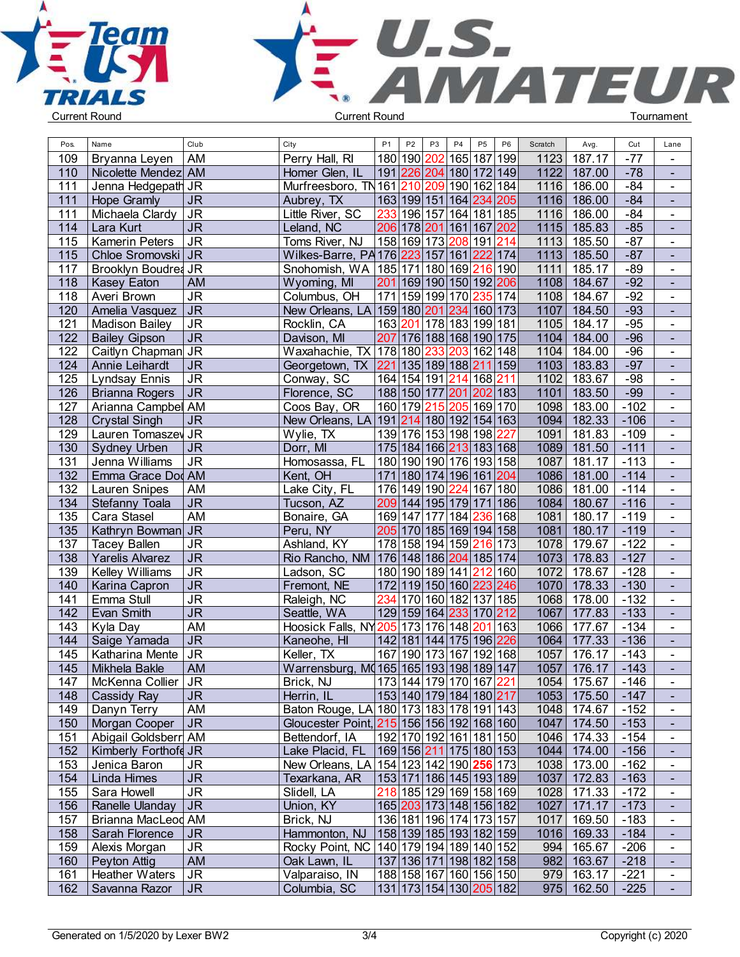



| Pos.             | Name                   | Club           | City                                                | P <sub>1</sub> | P <sub>2</sub><br>P <sub>3</sub> | P <sub>5</sub><br>P <sub>4</sub>       | P <sub>6</sub> | Scratch | Avg.          | Cut    | Lane           |  |
|------------------|------------------------|----------------|-----------------------------------------------------|----------------|----------------------------------|----------------------------------------|----------------|---------|---------------|--------|----------------|--|
| 109              | Bryanna Leyen          | AM             | Perry Hall, RI                                      |                | 180   190  <br>202               | 165 187 199                            |                | 1123    | 187.17        | $-77$  | $\blacksquare$ |  |
| 110              | Nicolette Mendez AM    |                | Homer Glen, IL                                      |                |                                  | 191 226 204 180 172 149                |                | 1122    | 187.00        | $-78$  | $\blacksquare$ |  |
| 111              | Jenna Hedgepath JR     |                | Murfreesboro, TN161210                              |                |                                  | 209 190 162 184                        |                | 1116    | 186.00        | $-84$  | $\blacksquare$ |  |
| 111              |                        | <b>JR</b>      |                                                     |                |                                  | 163 199 151 164  <mark>234</mark>  205 |                | 1116    | 186.00        | $-84$  | $\mathbf{u}$   |  |
|                  | <b>Hope Gramly</b>     |                | Aubrey, TX                                          |                |                                  |                                        |                |         |               |        |                |  |
| 111              | Michaela Clardy        | <b>JR</b>      | Little River, SC                                    |                |                                  | 233 196 157 164 181 185                |                | 1116    | 186.00        | $-84$  | $\blacksquare$ |  |
| 114              | Lara Kurt              | <b>JR</b>      | Leland, NC                                          |                |                                  | 206 178 201 161 167 202                |                | 1115    | 185.83        | $-85$  | $\blacksquare$ |  |
| 115              | Kamerin Peters         | <b>JR</b>      | Toms River, NJ                                      |                |                                  | 158 169 173 208 191 214                |                | 1113    | 185.50        | $-87$  | $\mathbf{r}$   |  |
| 115              | Chloe Sromovski   JR   |                | Wilkes-Barre, PA 176 223 157 161 222 174            |                |                                  |                                        |                |         | 1113 185.50   | $-87$  | $\blacksquare$ |  |
| 117              | Brooklyn Boudred JR    |                | Snohomish, WA   185   171   180   169   216   190   |                |                                  |                                        |                | 1111    | 185.17        | $-89$  | $\mathbf{r}$   |  |
| 118              | <b>Kasey Eaton</b>     | AM             | Wyoming, MI                                         |                |                                  | 201 169 190 150 192 206                |                | 1108    | 184.67        | $-92$  | $\blacksquare$ |  |
| 118              | Averi Brown            | <b>JR</b>      | Columbus, OH                                        |                |                                  | 171 159 199 170 235 174                |                | 1108    | 184.67        | $-92$  | $\blacksquare$ |  |
| 120              | Amelia Vasquez         | <b>JR</b>      | New Orleans, LA 159 180 201 234 160 173             |                |                                  |                                        |                | 1107    | 184.50        | $-93$  | $\blacksquare$ |  |
| 121              | <b>Madison Bailey</b>  | <b>JR</b>      | Rocklin, CA                                         |                |                                  | 163 201 178 183 199 181                |                | 1105    | 184.17        | $-95$  | $\blacksquare$ |  |
| $\overline{122}$ | <b>Bailey Gipson</b>   | <b>JR</b>      | Davison, MI                                         |                |                                  | 207 176 188 168 190 175                |                | 1104    | 184.00        | $-96$  | $\blacksquare$ |  |
| 122              | Caitlyn Chapman        | <b>JR</b>      | Waxahachie, TX 178 180 233 203 162 148              |                |                                  |                                        |                | 1104    | 184.00        | $-96$  | $\blacksquare$ |  |
| 124              | Annie Leihardt         | <b>JR</b>      | Georgetown, TX 221 135 189 188 211 159              |                |                                  |                                        |                | 1103    | 183.83        | $-97$  | $\blacksquare$ |  |
| 125              | <b>Lyndsay Ennis</b>   | <b>JR</b>      | Conway, SC                                          |                |                                  | 164 154 191 214 168 211                |                | 1102    | 183.67        | $-98$  | $\mathbf{r}$   |  |
| 126              | <b>Brianna Rogers</b>  | <b>JR</b>      | Florence, SC                                        |                |                                  | 188 150 177 201 202 183                |                | 1101    | 183.50        | $-99$  | $\mathbf{r}$   |  |
| 127              | Arianna Campbel AM     |                | Coos Bay, OR                                        |                |                                  | 160 179 215 205 169 170                |                | 1098    | 183.00        | $-102$ | $\mathbf{r}$   |  |
| 128              | <b>Crystal Singh</b>   | <b>JR</b>      | New Orleans, LA   191   214   180   192   154   163 |                |                                  |                                        |                | 1094    | 182.33        | $-106$ | $\sim$         |  |
| 129              | Lauren Tomaszev        | <b>JR</b>      | Wylie, TX                                           |                |                                  | 139 176 153 198 198 227                |                | 1091    | 181.83        | $-109$ | $\blacksquare$ |  |
| 130              | <b>Sydney Urben</b>    | <b>JR</b>      | Dorr, MI                                            |                |                                  | 175 184 166 213 183 168                |                | 1089    | 181.50        | $-111$ | $\blacksquare$ |  |
| 131              | Jenna Williams         | <b>JR</b>      | Homosassa, FL                                       |                |                                  | 180 190 190 176 193 158                |                | 1087    | 181.17        | $-113$ | $\blacksquare$ |  |
| $\overline{132}$ | Emma Grace Dod AM      |                | Kent, OH                                            |                |                                  | 171 180 174 196 161 204                |                | 1086    | 181.00        | $-114$ | $\mathbf{r}$   |  |
| 132              | <b>Lauren Snipes</b>   | AM             | Lake City, FL                                       |                |                                  | 176 149 190 224 167 180                |                | 1086    | 181.00        | $-114$ | $\blacksquare$ |  |
| 134              | Stefanny Toala         | <b>JR</b>      | Tucson, AZ                                          |                |                                  | 209 144 195 179 171 186                |                |         | 1084 180.67   | $-116$ | $\blacksquare$ |  |
| 135              | Cara Stasel            | AM             | Bonaire, GA                                         |                |                                  | 169 147 177 184 236 168                |                | 1081    | 180.17        | $-119$ | $\mathbf{r}$   |  |
| 135              | Kathryn Bowman JR      |                | Peru, NY                                            |                |                                  | 205 170 185 169 194 158                |                | 1081    | 180.17        | $-119$ | $\blacksquare$ |  |
| 137              | <b>Tacey Ballen</b>    | <b>JR</b>      | Ashland, KY                                         |                |                                  | 178 158 194 159 216 173                |                | 1078    | 179.67        | $-122$ | $\blacksquare$ |  |
| 138              |                        | <b>JR</b>      | Rio Rancho, NM   176   148   186   204   185   174  |                |                                  |                                        |                | 1073    | 178.83        | $-127$ |                |  |
|                  | <b>Yarelis Alvarez</b> |                |                                                     |                |                                  |                                        |                |         |               |        | $\blacksquare$ |  |
| 139              | Kelley Williams        | <b>JR</b>      | Ladson, SC                                          |                |                                  | 180 190 189 141 212 160                |                | 1072    | 178.67        | $-128$ | $\blacksquare$ |  |
| 140              | Karina Capron          | <b>JR</b>      | Fremont, NE                                         |                |                                  | 172 119 150 160 223 246                |                | 1070    | 178.33        | $-130$ |                |  |
| 141              | Emma Stull             | <b>JR</b>      | Raleigh, NC                                         | 234            |                                  | 170 160 182 137 185                    |                | 1068    | 178.00        | $-132$ | $\blacksquare$ |  |
| 142              | Evan Smith             | J <sub>R</sub> | Seattle, WA                                         |                |                                  | 129 159 164 233 170 212                |                | 1067    | 177.83        | $-133$ | $\mathbf{u}$   |  |
| 143              | Kyla Day               | AM             | Hoosick Falls, NY 205 173 176 148 201 163           |                |                                  |                                        |                | 1066    | 177.67        | $-134$ | $\blacksquare$ |  |
| 144              | Saige Yamada           | <b>JR</b>      | Kaneohe, HI                                         |                |                                  | 142 181 144 175 196  <mark>226</mark>  |                | 1064    | 177.33        | $-136$ | $\blacksquare$ |  |
| 145              | Katharina Mente        | <b>JR</b>      | Keller, TX                                          |                |                                  | 167 190 173 167 192 168                |                | 1057    | 176.17        | $-143$ | $\blacksquare$ |  |
| 145              | Mikhela Bakle          | AM             | Warrensburg, MQ165 165 193 198 189 147              |                |                                  |                                        |                | 1057    | 176.17        | $-143$ |                |  |
| 147              | McKenna Collier   JR   |                | Brick, NJ                                           |                |                                  | 173 144 179 170 167  <mark>221</mark>  |                |         | 1054 175.67   | -146   | $\blacksquare$ |  |
| 148              | Cassidy Ray            | <b>JR</b>      | Herrin, IL                                          |                |                                  | 153 140 179 184 180  <mark>217</mark>  |                |         | 1053 175.50   | $-147$ | $\blacksquare$ |  |
| 149              | Danyn Terry            | AM             | Baton Rouge, LA 180 173 183 178 191 143             |                |                                  |                                        |                |         | 1048 174.67   | $-152$ | $\blacksquare$ |  |
| 150              | Morgan Cooper          | <b>JR</b>      | Gloucester Point, 215 156 156 192 168 160           |                |                                  |                                        |                |         | 1047   174.50 | $-153$ | $\sim$         |  |
| 151              | Abigail Goldsberr AM   |                | Bettendorf, IA                                      |                |                                  | 192 170 192 161 181 150                |                |         | 1046 174.33   | $-154$ | $\blacksquare$ |  |
| 152              | Kimberly Forthofd JR   |                | Lake Placid, FL   169 156 211 175 180 153           |                |                                  |                                        |                |         | 1044 174.00   | $-156$ | $\blacksquare$ |  |
| 153              | Jenica Baron           | <b>JR</b>      | New Orleans, LA 154 123 142 190 256 173             |                |                                  |                                        |                |         | 1038 173.00   | $-162$ | $\blacksquare$ |  |
| 154              | Linda Himes            | <b>JR</b>      | Texarkana, AR                                       |                |                                  | 153 171 186 145 193 189                |                |         | 1037 172.83   | $-163$ | $\sim$         |  |
| 155              | Sara Howell            | <b>JR</b>      | Slidell, LA                                         |                |                                  | 218 185 129 169 158 169                |                |         | 1028 171.33   | $-172$ | $\blacksquare$ |  |
| 156              | Ranelle Ulanday        | <b>JR</b>      | Union, KY                                           |                |                                  | 165 203 173 148 156 182                |                |         | 1027 171.17   | $-173$ | $\blacksquare$ |  |
| 157              | Brianna MacLeod AM     |                | Brick, NJ                                           |                |                                  | 136 181 196 174 173 157                |                | 1017    | 169.50        | -183   | $\blacksquare$ |  |
| 158              | Sarah Florence         | JR.            | Hammonton, NJ   158   139   185   193   182   159   |                |                                  |                                        |                |         | 1016 169.33   | $-184$ | $\sim$         |  |
| 159              | Alexis Morgan          | <b>JR</b>      | Rocky Point, NC   140   179   194   189   140   152 |                |                                  |                                        |                |         | 994 165.67    | $-206$ | $\blacksquare$ |  |
| 160              | Peyton Attig           | <b>AM</b>      | Oak Lawn, IL                                        |                |                                  | 137 136 171 198 182 158                |                |         | 982 163.67    | $-218$ | $\sim$         |  |
| 161              | Heather Waters         | <b>JR</b>      | Valparaiso, IN                                      |                |                                  | 188 158 167 160 156 150                |                |         | 979 163.17    | $-221$ | $\blacksquare$ |  |
| 162              | Savanna Razor          | <b>JR</b>      | Columbia, SC                                        |                |                                  | 131 173 154 130  <mark>205</mark>  182 |                |         | $975$ 162.50  | $-225$ |                |  |
|                  |                        |                |                                                     |                |                                  |                                        |                |         |               |        |                |  |